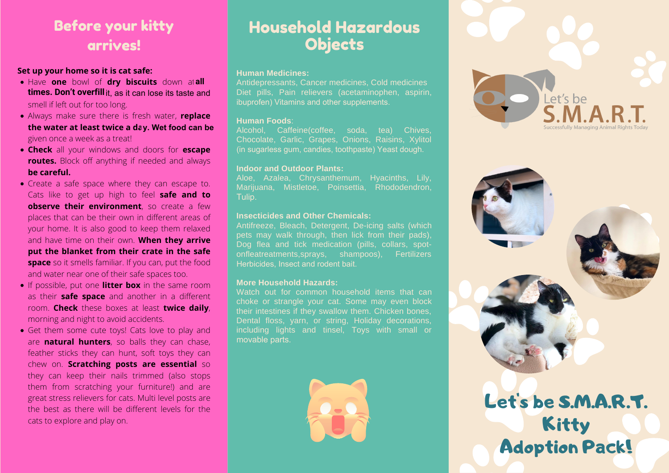### Before your kitty arrives!

#### **Set up your home so it is cat safe:**

- Have **one** bowl of **dry biscuits** down at **all all times. Don't overfill** it, as it can lose its taste and smell if left out for too long.
- Always make sure there is fresh water, **replace the water at least twice a da**y. Wet food can be **y. Wet food can be** given once a week as a treat!
- **Check** all your windows and doors for **escape routes.** Block off anything if needed and always **be careful.**
- Create a safe space where they can escape to. Cats like to get up high to feel **safe and to observe their environment**, so create a few places that can be their own in different areas of your home. It is also good to keep them relaxed and have time on their own. **When they arrive put the blanket from their crate in the safe space** so it smells familiar. If you can, put the food and water near one of their safe spaces too.
- **.** If possible, put one **litter box** in the same room as their **safe space** and another in a different room. **Check** these boxes at least **twice daily**, morning and night to avoid accidents.
- Get them some cute toys! Cats love to play and are **natural hunters**, so balls they can chase, feather sticks they can hunt, soft toys they can chew on. **Scratching posts are essential** so they can keep their nails trimmed (also stops them from scratching your furniture!) and are great stress relievers for cats. Multi level posts are the best as there will be different levels for the cats to explore and play on.

## Household Hazardous **Objects**

#### **Human Medicines:**

Antidepressants, Cancer medicines, Cold medicines Diet pills, Pain relievers (acetaminophen, aspirin, ibuprofen) Vitamins and other supplements ibuprofen) Vitamins and other supplements.

#### **Human Foods**:

Alcohol, Caffeine(coffee, soda, tea) Chives, Chocolate, Garlic, Grapes, Onions, Raisins, Xylitol (in sugarless gum, candies, toothpaste) Yeast dough (in sugarless gum, candies, toothpaste) Yeast dough.

#### **Indoor and Outdoor Plants:**

Aloe, Azalea, Chrysanthemum, Hyacinths, Lily, Marijuana, Mistletoe, Poinsettia, Rhododendron, Tulip Tulip.

#### **Insecticides and Other Chemicals:**

Antifreeze, Bleach, Detergent, De-icing salts (which pets may walk through, then lick from their pads), Dog flea and tick medication (pills, collars, spotonfleatreatments,sprays, shampoos), Fertilizers Herbicides, Insect and rodent bait.

#### **More Household Hazards:**

Watch out for common household items that can choke or strangle your cat. Some may even block their intestines if they swallow them. Chicken bones, Dental floss, yarn, or string, Holiday decorations, including lights and tinsel, Toys with small or movable parts movable parts.







Adoption Pack!